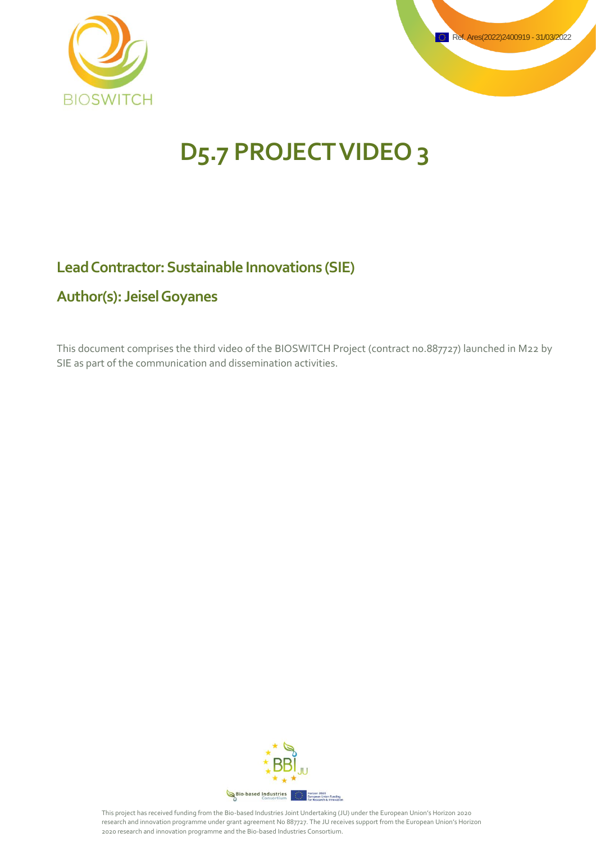



# **D5.7 PROJECT VIDEO 3**

#### **Lead Contractor: Sustainable Innovations (SIE)**

#### **Author(s): Jeisel Goyanes**

This document comprises the third video of the BIOSWITCH Project (contract no.887727) launched in M22 by SIE as part of the communication and dissemination activities.

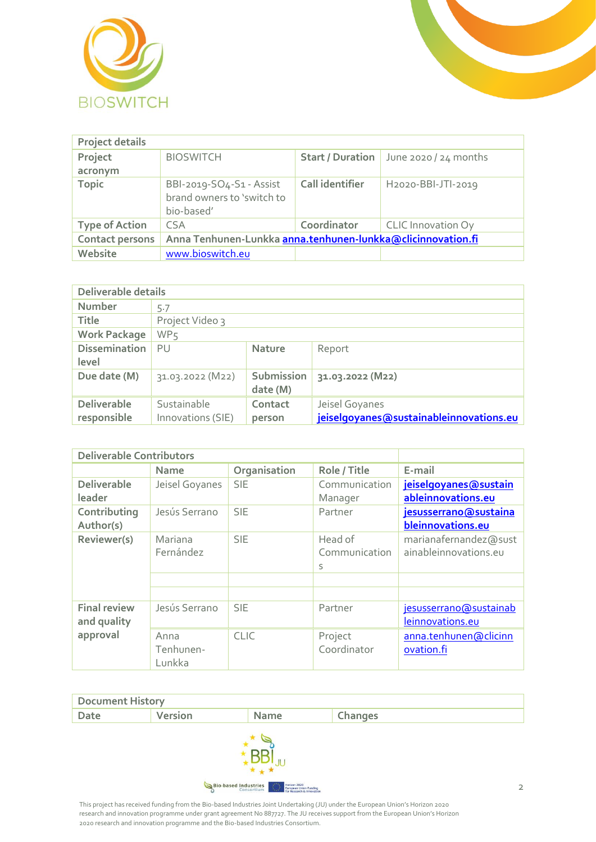



| <b>Project details</b> |                                                                      |                         |                                 |
|------------------------|----------------------------------------------------------------------|-------------------------|---------------------------------|
| Project                | <b>BIOSWITCH</b>                                                     | <b>Start / Duration</b> | June 2020 / 24 months           |
| acronym                |                                                                      |                         |                                 |
| <b>Topic</b>           | BBI-2019-SO4-S1 - Assist<br>brand owners to 'switch to<br>bio-based' | Call identifier         | H <sub>2020</sub> -BBI-JTI-2019 |
| <b>Type of Action</b>  | <b>CSA</b>                                                           | Coordinator             | <b>CLIC Innovation Oy</b>       |
| Contact persons        | Anna Tenhunen-Lunkka anna.tenhunen-lunkka@clicinnovation.fi          |                         |                                 |
| Website                | www.bioswitch.eu                                                     |                         |                                 |

| Deliverable details               |                                  |                        |                                                           |
|-----------------------------------|----------------------------------|------------------------|-----------------------------------------------------------|
| <b>Number</b>                     | 5.7                              |                        |                                                           |
| <b>Title</b>                      | Project Video 3                  |                        |                                                           |
| <b>Work Package</b>               | WP <sub>5</sub>                  |                        |                                                           |
| <b>Dissemination</b><br>level     | PU                               | <b>Nature</b>          | Report                                                    |
| Due date (M)                      | 31.03.2022 (M22)                 | Submission<br>date (M) | 31.03.2022 (M22)                                          |
| <b>Deliverable</b><br>responsible | Sustainable<br>Innovations (SIE) | Contact<br>person      | Jeisel Goyanes<br>jeiselgoyanes@sustainableinnovations.eu |

| <b>Deliverable Contributors</b> |                |              |               |                        |
|---------------------------------|----------------|--------------|---------------|------------------------|
|                                 | <b>Name</b>    | Organisation | Role / Title  | E-mail                 |
| <b>Deliverable</b>              | Jeisel Goyanes | <b>SIE</b>   | Communication | jeiselgoyanes@sustain  |
| leader                          |                |              | Manager       | ableinnovations.eu     |
| Contributing                    | Jesús Serrano  | <b>SIE</b>   | Partner       | jesusserrano@sustaina  |
| Author(s)                       |                |              |               | bleinnovations.eu      |
| Reviewer(s)                     | Mariana        | <b>SIE</b>   | Head of       | marianafernandez@sust  |
|                                 | Fernández      |              | Communication | ainableinnovations.eu  |
|                                 |                |              | S             |                        |
|                                 |                |              |               |                        |
|                                 |                |              |               |                        |
| <b>Final review</b>             | Jesús Serrano  | <b>SIE</b>   | Partner       | jesusserrano@sustainab |
| and quality                     |                |              |               | leinnovations.eu       |
| approval                        | Anna           | <b>CLIC</b>  | Project       | anna.tenhunen@clicinn  |
|                                 | Tenhunen-      |              | Coordinator   | ovation.fi             |
|                                 | Lunkka         |              |               |                        |

| <b>Document History</b> |         |      |         |
|-------------------------|---------|------|---------|
| Date                    | Version | Name | Changes |
|                         |         |      |         |

Bio-based Industries **Maria Horizon 2020**<br>**Bang British Curopean Union Funding**<br>for Research & Innovation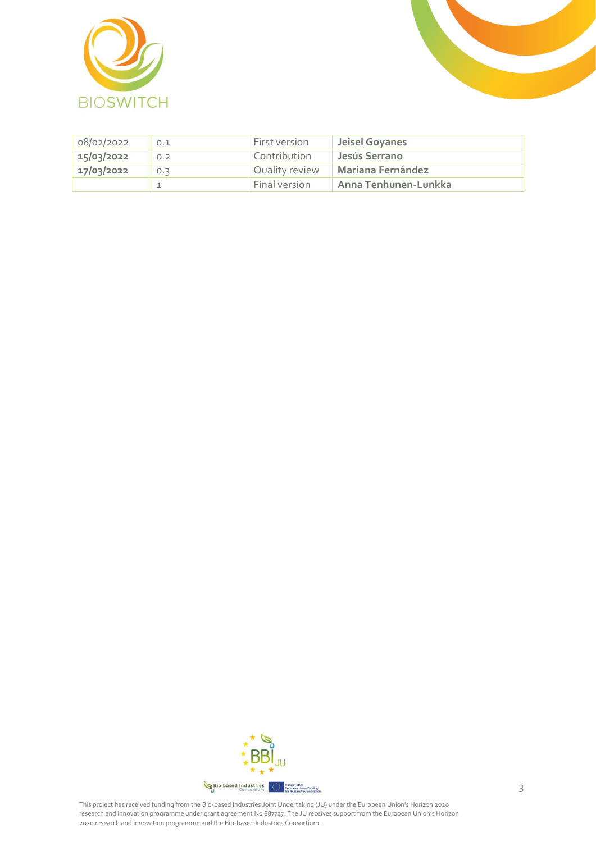



| 08/02/2022 | 0.1 | First version  | Jeisel Goyanes       |
|------------|-----|----------------|----------------------|
| 15/03/2022 | 0.2 | Contribution   | Jesús Serrano        |
| 17/03/2022 | 0.3 | Quality review | Mariana Fernández    |
|            |     | Final version  | Anna Tenhunen-Lunkka |

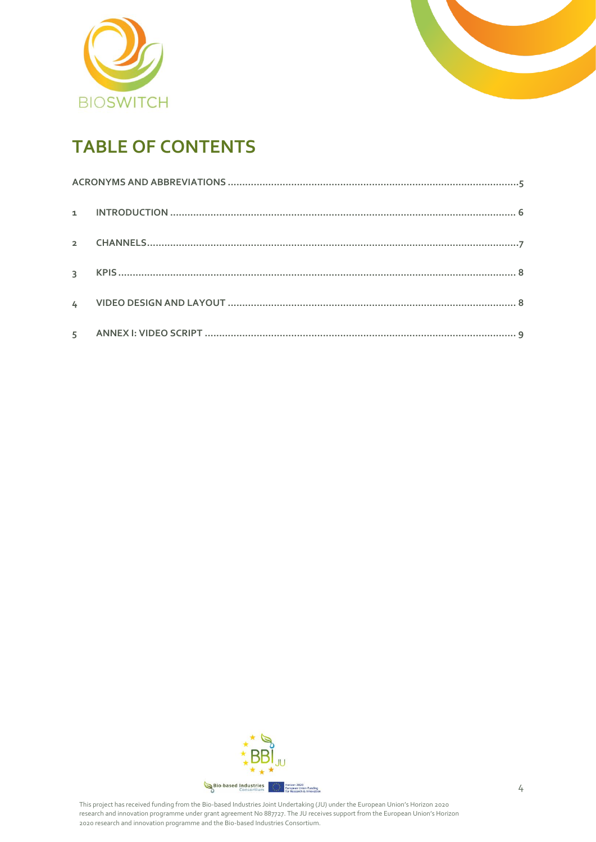



## **TABLE OF CONTENTS**

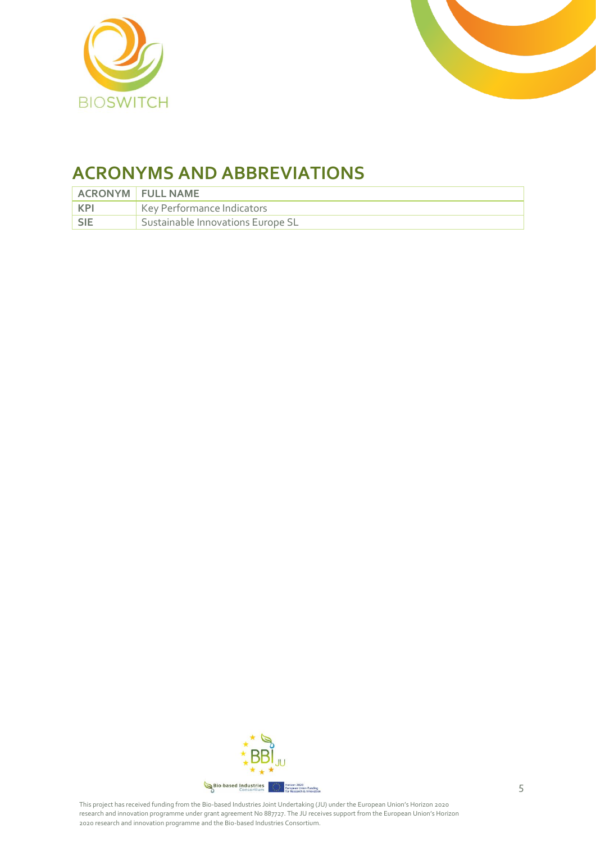



### <span id="page-4-0"></span>**ACRONYMS AND ABBREVIATIONS**

|            | <b>ACRONYM FULL NAME</b>                       |
|------------|------------------------------------------------|
| <b>KPI</b> | Key Performance Indicators                     |
| <b>SIE</b> | <sup>'</sup> Sustainable Innovations Europe SL |

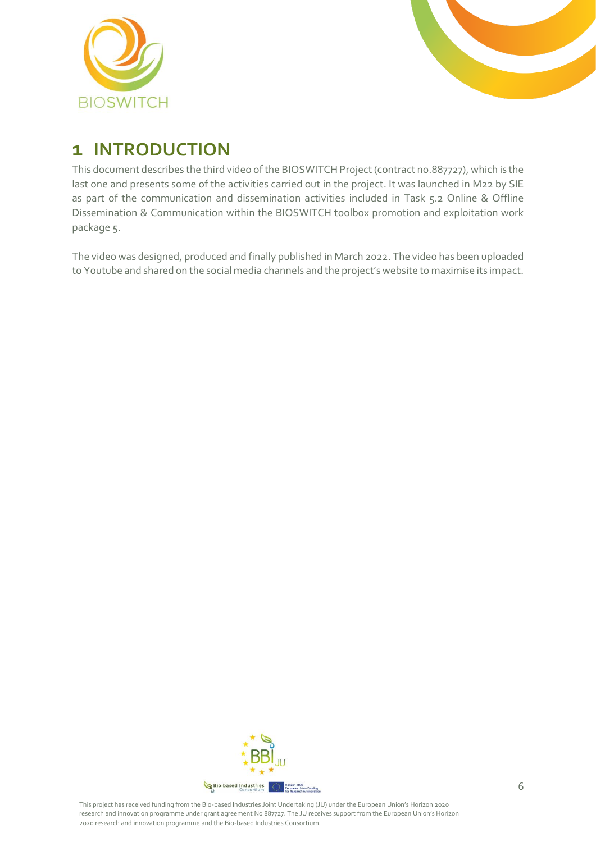



### <span id="page-5-0"></span>**1 INTRODUCTION**

This document describes the third video of the BIOSWITCH Project (contract no.887727), which is the last one and presents some of the activities carried out in the project. It was launched in M22 by SIE as part of the communication and dissemination activities included in Task 5.2 Online & Offline Dissemination & Communication within the BIOSWITCH toolbox promotion and exploitation work package 5.

The video was designed, produced and finally published in March 2022. The video has been uploaded to Youtube and shared on the social media channels and the project's website to maximise its impact.

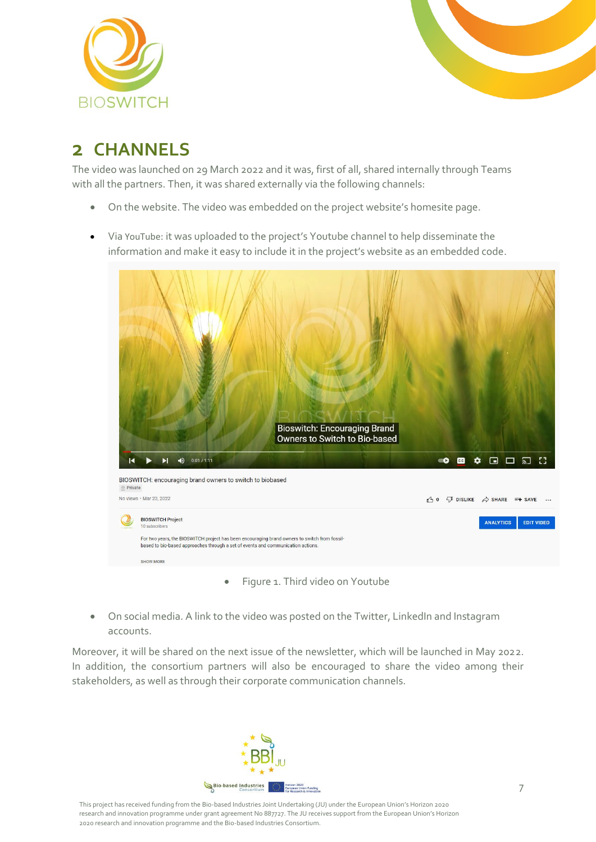



### <span id="page-6-0"></span>**2 CHANNELS**

The video was launched on 29 March 2022 and it was, first of all, shared internally through Teams with all the partners. Then, it was shared externally via the following channels:

- On th[e website.](https://bioswitch.eu/) The video was embedded on the project website's homesite page.
- Via [YouTube](https://youtu.be/GJxSeFYH3n8): it was uploaded to the project's Youtube channel to help disseminate the information and make it easy to include it in the project's website as an embedded code.



• On social media. A link to the video was posted on the [Twitter,](https://twitter.com/BIOSWITCH_eu) [LinkedIn](https://www.linkedin.com/company/bioswitch/) an[d Instagram](https://www.instagram.com/bioswitch.eu/) accounts.

Moreover, it will be shared on the next issue of the newsletter, which will be launched in May 2022. In addition, the consortium partners will also be encouraged to share the video among their stakeholders, as well as through their corporate communication channels.

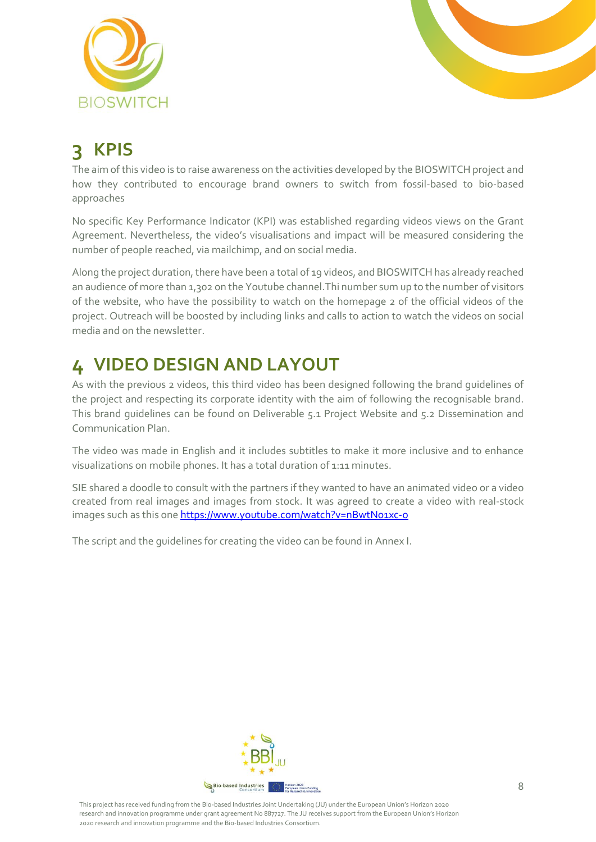



# <span id="page-7-0"></span>**3 KPIS**

The aim of this video is to raise awareness on the activities developed by the BIOSWITCH project and how they contributed to encourage brand owners to switch from fossil-based to bio-based approaches

No specific Key Performance Indicator (KPI) was established regarding videos views on the Grant Agreement. Nevertheless, the video's visualisations and impact will be measured considering the number of people reached, via mailchimp, and on social media.

Along the project duration, there have been a total of 19 videos, and BIOSWITCHhas already reached an audience of more than 1,302 on the Youtube channel. Thi number sum up to the number of visitors of the website, who have the possibility to watch on the homepage 2 of the official videos of the project. Outreach will be boosted by including links and calls to action to watch the videos on social media and on the newsletter.

# <span id="page-7-1"></span>**4 VIDEO DESIGN AND LAYOUT**

As with the previous 2 videos, this third video has been designed following the brand guidelines of the project and respecting its corporate identity with the aim of following the recognisable brand. This brand guidelines can be found on Deliverable 5.1 Project Website and 5.2 Dissemination and Communication Plan.

The video was made in English and it includes subtitles to make it more inclusive and to enhance visualizations on mobile phones. It has a total duration of 1:11 minutes.

SIE shared a doodle to consult with the partners if they wanted to have an animated video or a video created from real images and images from stock. It was agreed to create a video with real-stock images such as this one <https://www.youtube.com/watch?v=nBwtNo1xc-o>

The script and the guidelines for creating the video can be found in Annex I.